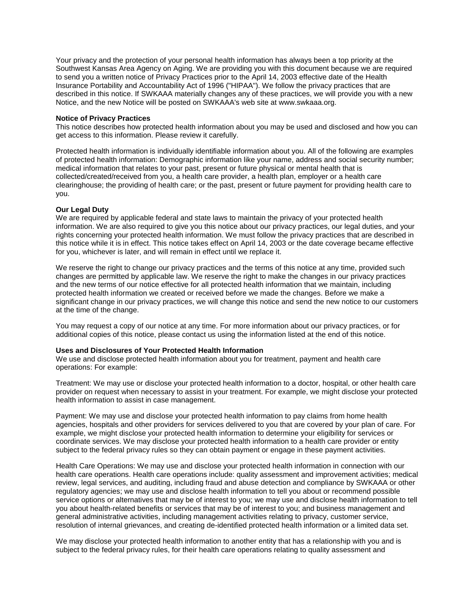Your privacy and the protection of your personal health information has always been a top priority at the Southwest Kansas Area Agency on Aging. We are providing you with this document because we are required to send you a written notice of Privacy Practices prior to the April 14, 2003 effective date of the Health Insurance Portability and Accountability Act of 1996 ("HIPAA"). We follow the privacy practices that are described in this notice. If SWKAAA materially changes any of these practices, we will provide you with a new Notice, and the new Notice will be posted on SWKAAA's web site at www.swkaaa.org.

### **Notice of Privacy Practices**

This notice describes how protected health information about you may be used and disclosed and how you can get access to this information. Please review it carefully.

Protected health information is individually identifiable information about you. All of the following are examples of protected health information: Demographic information like your name, address and social security number; medical information that relates to your past, present or future physical or mental health that is collected/created/received from you, a health care provider, a health plan, employer or a health care clearinghouse; the providing of health care; or the past, present or future payment for providing health care to you.

## **Our Legal Duty**

We are required by applicable federal and state laws to maintain the privacy of your protected health information. We are also required to give you this notice about our privacy practices, our legal duties, and your rights concerning your protected health information. We must follow the privacy practices that are described in this notice while it is in effect. This notice takes effect on April 14, 2003 or the date coverage became effective for you, whichever is later, and will remain in effect until we replace it.

We reserve the right to change our privacy practices and the terms of this notice at any time, provided such changes are permitted by applicable law. We reserve the right to make the changes in our privacy practices and the new terms of our notice effective for all protected health information that we maintain, including protected health information we created or received before we made the changes. Before we make a significant change in our privacy practices, we will change this notice and send the new notice to our customers at the time of the change.

You may request a copy of our notice at any time. For more information about our privacy practices, or for additional copies of this notice, please contact us using the information listed at the end of this notice.

# **Uses and Disclosures of Your Protected Health Information**

We use and disclose protected health information about you for treatment, payment and health care operations: For example:

Treatment: We may use or disclose your protected health information to a doctor, hospital, or other health care provider on request when necessary to assist in your treatment. For example, we might disclose your protected health information to assist in case management.

Payment: We may use and disclose your protected health information to pay claims from home health agencies, hospitals and other providers for services delivered to you that are covered by your plan of care. For example, we might disclose your protected health information to determine your eligibility for services or coordinate services. We may disclose your protected health information to a health care provider or entity subject to the federal privacy rules so they can obtain payment or engage in these payment activities.

Health Care Operations: We may use and disclose your protected health information in connection with our health care operations. Health care operations include: quality assessment and improvement activities; medical review, legal services, and auditing, including fraud and abuse detection and compliance by SWKAAA or other regulatory agencies; we may use and disclose health information to tell you about or recommend possible service options or alternatives that may be of interest to you; we may use and disclose health information to tell you about health-related benefits or services that may be of interest to you; and business management and general administrative activities, including management activities relating to privacy, customer service, resolution of internal grievances, and creating de-identified protected health information or a limited data set.

We may disclose your protected health information to another entity that has a relationship with you and is subject to the federal privacy rules, for their health care operations relating to quality assessment and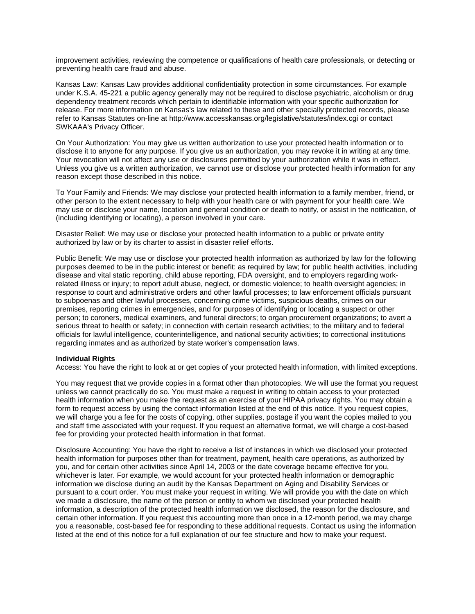improvement activities, reviewing the competence or qualifications of health care professionals, or detecting or preventing health care fraud and abuse.

Kansas Law: Kansas Law provides additional confidentiality protection in some circumstances. For example under K.S.A. 45-221 a public agency generally may not be required to disclose psychiatric, alcoholism or drug dependency treatment records which pertain to identifiable information with your specific authorization for release. For more information on Kansas's law related to these and other specially protected records, please refer to Kansas Statutes on-line at http://www.accesskansas.org/legislative/statutes/index.cgi or contact SWKAAA's Privacy Officer.

On Your Authorization: You may give us written authorization to use your protected health information or to disclose it to anyone for any purpose. If you give us an authorization, you may revoke it in writing at any time. Your revocation will not affect any use or disclosures permitted by your authorization while it was in effect. Unless you give us a written authorization, we cannot use or disclose your protected health information for any reason except those described in this notice.

To Your Family and Friends: We may disclose your protected health information to a family member, friend, or other person to the extent necessary to help with your health care or with payment for your health care. We may use or disclose your name, location and general condition or death to notify, or assist in the notification, of (including identifying or locating), a person involved in your care.

Disaster Relief: We may use or disclose your protected health information to a public or private entity authorized by law or by its charter to assist in disaster relief efforts.

Public Benefit: We may use or disclose your protected health information as authorized by law for the following purposes deemed to be in the public interest or benefit: as required by law; for public health activities, including disease and vital static reporting, child abuse reporting, FDA oversight, and to employers regarding workrelated illness or injury; to report adult abuse, neglect, or domestic violence; to health oversight agencies; in response to court and administrative orders and other lawful processes; to law enforcement officials pursuant to subpoenas and other lawful processes, concerning crime victims, suspicious deaths, crimes on our premises, reporting crimes in emergencies, and for purposes of identifying or locating a suspect or other person; to coroners, medical examiners, and funeral directors; to organ procurement organizations; to avert a serious threat to health or safety; in connection with certain research activities; to the military and to federal officials for lawful intelligence, counterintelligence, and national security activities; to correctional institutions regarding inmates and as authorized by state worker's compensation laws.

#### **Individual Rights**

Access: You have the right to look at or get copies of your protected health information, with limited exceptions.

You may request that we provide copies in a format other than photocopies. We will use the format you request unless we cannot practically do so. You must make a request in writing to obtain access to your protected health information when you make the request as an exercise of your HIPAA privacy rights. You may obtain a form to request access by using the contact information listed at the end of this notice. If you request copies, we will charge you a fee for the costs of copying, other supplies, postage if you want the copies mailed to you and staff time associated with your request. If you request an alternative format, we will charge a cost-based fee for providing your protected health information in that format.

Disclosure Accounting: You have the right to receive a list of instances in which we disclosed your protected health information for purposes other than for treatment, payment, health care operations, as authorized by you, and for certain other activities since April 14, 2003 or the date coverage became effective for you, whichever is later. For example, we would account for your protected health information or demographic information we disclose during an audit by the Kansas Department on Aging and Disability Services or pursuant to a court order. You must make your request in writing. We will provide you with the date on which we made a disclosure, the name of the person or entity to whom we disclosed your protected health information, a description of the protected health information we disclosed, the reason for the disclosure, and certain other information. If you request this accounting more than once in a 12-month period, we may charge you a reasonable, cost-based fee for responding to these additional requests. Contact us using the information listed at the end of this notice for a full explanation of our fee structure and how to make your request.